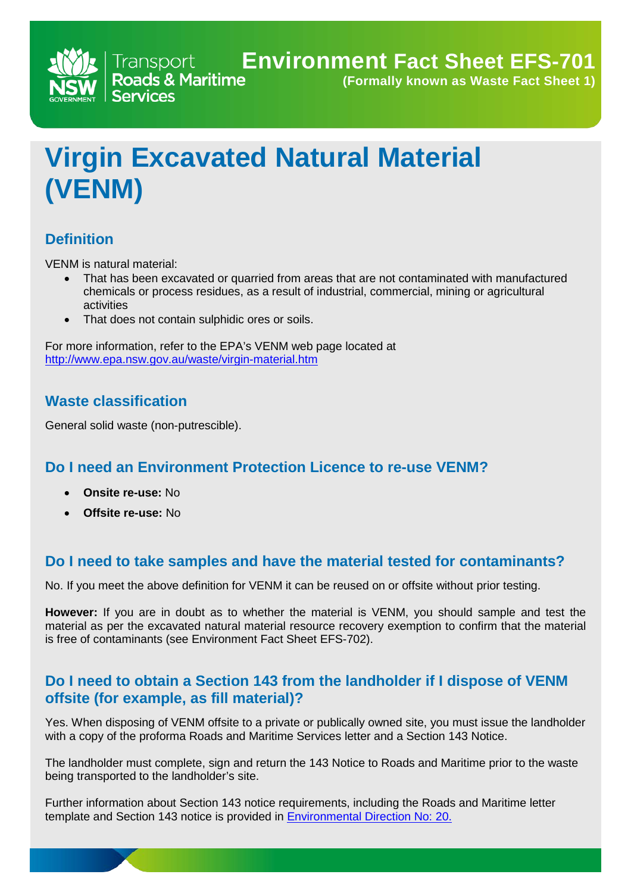**(Formally known as Waste Fact Sheet 1)**

# **Virgin Excavated Natural Material (VENM)**

## **Definition**

VENM is natural material:

- That has been excavated or quarried from areas that are not contaminated with manufactured chemicals or process residues, as a result of industrial, commercial, mining or agricultural activities
- That does not contain sulphidic ores or soils.

Transport **Trans** 

**Services** 

For more information, refer to the EPA's VENM web page located at <http://www.epa.nsw.gov.au/waste/virgin-material.htm>

## **Waste classification**

General solid waste (non-putrescible).

## **Do I need an Environment Protection Licence to re-use VENM?**

- **Onsite re-use:** No
- **Offsite re-use:** No

#### **Do I need to take samples and have the material tested for contaminants?**

No. If you meet the above definition for VENM it can be reused on or offsite without prior testing.

**However:** If you are in doubt as to whether the material is VENM, you should sample and test the material as per the excavated natural material resource recovery exemption to confirm that the material is free of contaminants (see Environment Fact Sheet EFS-702).

## **Do I need to obtain a Section 143 from the landholder if I dispose of VENM offsite (for example, as fill material)?**

Yes. When disposing of VENM offsite to a private or publically owned site, you must issue the landholder with a copy of the proforma Roads and Maritime Services letter and a Section 143 Notice.

The landholder must complete, sign and return the 143 Notice to Roads and Maritime prior to the waste being transported to the landholder's site.

Further information about Section 143 notice requirements, including the Roads and Maritime letter template and Section 143 notice is provided in **Environmental Direction No: 20.**